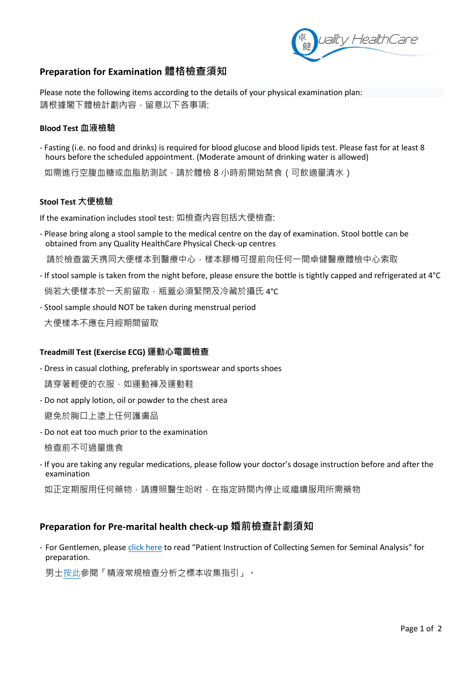

# **Preparation for Examination 體格檢查須知**

Please note the following items according to the details of your physical examination plan: 請根據閣下體檢計劃內容,留意以下各事項:

## **Blood Test 血液檢驗**

- Fasting (i.e. no food and drinks) is required for blood glucose and blood lipids test. Please fast for at least 8 hours before the scheduled appointment. (Moderate amount of drinking water is allowed)

如需進行空腹血糖或血脂肪測試,請於體檢 8 小時前開始禁食 (可飲適量清水)

## **Stool Test 大便檢驗**

If the examination includes stool test: 如檢查內容包括大便檢查:

- Please bring along a stool sample to the medical centre on the day of examination. Stool bottle can be obtained from any Quality HealthCare Physical Check-up centres

請於檢查當天携同大便樣本到醫療中心,樣本膠樽可提前向任何一間卓健醫療體檢中心索取

- If stool sample is taken from the night before, please ensure the bottle is tightly capped and refrigerated at 4°C 倘若大便樣本於一天前留取,瓶蓋必須緊閉及冷藏於攝氏 4℃
- Stool sample should NOT be taken during menstrual period
- 大便樣本不應在月經期間留取

# **Treadmill Test (Exercise ECG) 運動心電圖檢查**

- Dress in casual clothing, preferably in sportswear and sports shoes

請穿著輕便的衣服,如運動褲及運動鞋

- Do not apply lotion, oil or powder to the chest area

避免於胸口上塗上任何護膚品

- Do not eat too much prior to the examination

檢查前不可過量進食

- If you are taking any regular medications, please follow your doctor's dosage instruction before and after the examination

如正定期服用任何藥物,請遵照醫生吩咐,在指定時間內停止或繼續服用所需藥物

# **Preparation for Pre-marital health check-up 婚前檢查計劃須知**

- For Gentlemen, pleas[e click](https://bit.ly/3xSBzZj) here to read "Patient Instruction of Collecting Semen for Seminal Analysis" for preparation.

男[士按此參](https://bit.ly/3xSBzZj)閱「精液常規檢查分析之標本收集指引」。